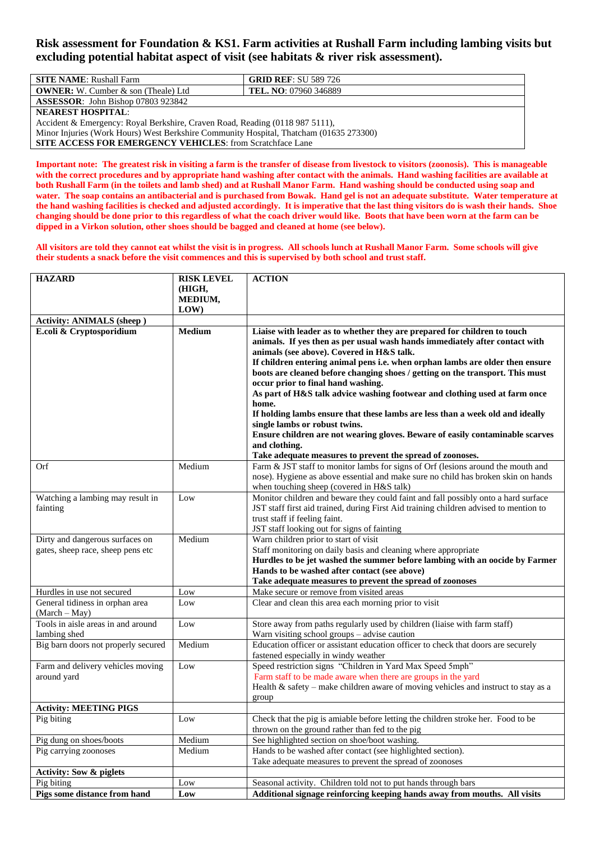## **Risk assessment for Foundation & KS1. Farm activities at Rushall Farm including lambing visits but excluding potential habitat aspect of visit (see habitats & river risk assessment).**

| <b>SITE NAME:</b> Rushall Farm                                                         | <b>GRID REF: SU 589 726</b>   |  |
|----------------------------------------------------------------------------------------|-------------------------------|--|
| <b>OWNER:</b> W. Cumber $\&$ son (Theale) Ltd                                          | <b>TEL. NO</b> : 07960 346889 |  |
| <b>ASSESSOR:</b> John Bishop 07803 923842                                              |                               |  |
| <b>NEAREST HOSPITAL:</b>                                                               |                               |  |
| Accident & Emergency: Royal Berkshire, Craven Road, Reading (0118 987 5111),           |                               |  |
| Minor Injuries (Work Hours) West Berkshire Community Hospital, Thatcham (01635 273300) |                               |  |
| <b>SITE ACCESS FOR EMERGENCY VEHICLES:</b> from Scratchface Lane                       |                               |  |

**Important note: The greatest risk in visiting a farm is the transfer of disease from livestock to visitors (zoonosis). This is manageable with the correct procedures and by appropriate hand washing after contact with the animals. Hand washing facilities are available at both Rushall Farm (in the toilets and lamb shed) and at Rushall Manor Farm. Hand washing should be conducted using soap and water. The soap contains an antibacterial and is purchased from Bowak. Hand gel is not an adequate substitute. Water temperature at the hand washing facilities is checked and adjusted accordingly. It is imperative that the last thing visitors do is wash their hands. Shoe changing should be done prior to this regardless of what the coach driver would like. Boots that have been worn at the farm can be dipped in a Virkon solution, other shoes should be bagged and cleaned at home (see below).**

**All visitors are told they cannot eat whilst the visit is in progress. All schools lunch at Rushall Manor Farm. Some schools will give their students a snack before the visit commences and this is supervised by both school and trust staff.**

| <b>HAZARD</b>                                      | <b>RISK LEVEL</b> | <b>ACTION</b>                                                                                                                                           |
|----------------------------------------------------|-------------------|---------------------------------------------------------------------------------------------------------------------------------------------------------|
|                                                    | (HIGH,            |                                                                                                                                                         |
|                                                    | MEDIUM,           |                                                                                                                                                         |
|                                                    | LOW               |                                                                                                                                                         |
| <b>Activity: ANIMALS (sheep)</b>                   |                   |                                                                                                                                                         |
| E.coli & Cryptosporidium                           | Medium            | Liaise with leader as to whether they are prepared for children to touch<br>animals. If yes then as per usual wash hands immediately after contact with |
|                                                    |                   | animals (see above). Covered in H&S talk.                                                                                                               |
|                                                    |                   | If children entering animal pens i.e. when orphan lambs are older then ensure                                                                           |
|                                                    |                   | boots are cleaned before changing shoes / getting on the transport. This must                                                                           |
|                                                    |                   | occur prior to final hand washing.                                                                                                                      |
|                                                    |                   | As part of H&S talk advice washing footwear and clothing used at farm once<br>home.                                                                     |
|                                                    |                   | If holding lambs ensure that these lambs are less than a week old and ideally                                                                           |
|                                                    |                   | single lambs or robust twins.                                                                                                                           |
|                                                    |                   | Ensure children are not wearing gloves. Beware of easily contaminable scarves                                                                           |
|                                                    |                   | and clothing.                                                                                                                                           |
|                                                    |                   | Take adequate measures to prevent the spread of zoonoses.                                                                                               |
| Orf                                                | Medium            | Farm & JST staff to monitor lambs for signs of Orf (lesions around the mouth and                                                                        |
|                                                    |                   | nose). Hygiene as above essential and make sure no child has broken skin on hands                                                                       |
|                                                    |                   | when touching sheep (covered in H&S talk)                                                                                                               |
| Watching a lambing may result in                   | Low               | Monitor children and beware they could faint and fall possibly onto a hard surface                                                                      |
| fainting                                           |                   | JST staff first aid trained, during First Aid training children advised to mention to                                                                   |
|                                                    |                   | trust staff if feeling faint.                                                                                                                           |
|                                                    |                   | JST staff looking out for signs of fainting                                                                                                             |
| Dirty and dangerous surfaces on                    | Medium            | Warn children prior to start of visit                                                                                                                   |
| gates, sheep race, sheep pens etc                  |                   | Staff monitoring on daily basis and cleaning where appropriate                                                                                          |
|                                                    |                   | Hurdles to be jet washed the summer before lambing with an oocide by Farmer                                                                             |
|                                                    |                   | Hands to be washed after contact (see above)                                                                                                            |
|                                                    |                   | Take adequate measures to prevent the spread of zoonoses                                                                                                |
| Hurdles in use not secured                         | Low               | Make secure or remove from visited areas                                                                                                                |
| General tidiness in orphan area<br>$(March - May)$ | Low               | Clear and clean this area each morning prior to visit                                                                                                   |
| Tools in aisle areas in and around                 | Low               | Store away from paths regularly used by children (liaise with farm staff)                                                                               |
| lambing shed                                       |                   | Warn visiting school groups - advise caution                                                                                                            |
| Big barn doors not properly secured                | Medium            | Education officer or assistant education officer to check that doors are securely                                                                       |
|                                                    |                   | fastened especially in windy weather                                                                                                                    |
| Farm and delivery vehicles moving                  | Low               | Speed restriction signs "Children in Yard Max Speed 5mph"                                                                                               |
| around yard                                        |                   | Farm staff to be made aware when there are groups in the yard                                                                                           |
|                                                    |                   | Health $\&$ safety – make children aware of moving vehicles and instruct to stay as a                                                                   |
|                                                    |                   | group                                                                                                                                                   |
| <b>Activity: MEETING PIGS</b>                      |                   |                                                                                                                                                         |
| Pig biting                                         | Low               | Check that the pig is amiable before letting the children stroke her. Food to be<br>thrown on the ground rather than fed to the pig                     |
| Pig dung on shoes/boots                            | Medium            | See highlighted section on shoe/boot washing.                                                                                                           |
| Pig carrying zoonoses                              | Medium            | Hands to be washed after contact (see highlighted section).                                                                                             |
|                                                    |                   | Take adequate measures to prevent the spread of zoonoses                                                                                                |
| <b>Activity: Sow &amp; piglets</b>                 |                   |                                                                                                                                                         |
| Pig biting                                         | Low               | Seasonal activity. Children told not to put hands through bars                                                                                          |
| Pigs some distance from hand                       | Low               | Additional signage reinforcing keeping hands away from mouths. All visits                                                                               |